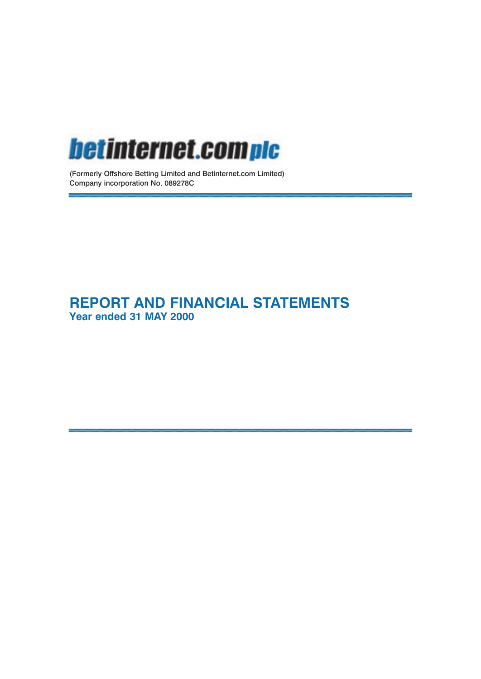# betinternet.complc

(Formerly Offshore Betting Limited and Betinternet.com Limited) Company incorporation No. 089278C

## **REPORT AND FINANCIAL STATEMENTS Year ended 31 MAY 2000**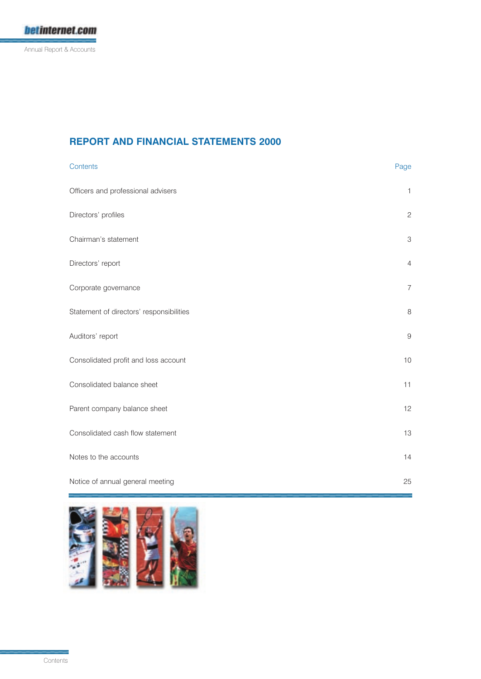Annual Report & Accounts

### **REPORT AND FINANCIAL STATEMENTS 2000**

| Contents                                 | Page             |
|------------------------------------------|------------------|
| Officers and professional advisers       | $\mathbf{1}$     |
| Directors' profiles                      | $\overline{c}$   |
| Chairman's statement                     | 3                |
| Directors' report                        | $\overline{4}$   |
| Corporate governance                     | $\overline{7}$   |
| Statement of directors' responsibilities | $\,8\,$          |
| Auditors' report                         | $\boldsymbol{9}$ |
| Consolidated profit and loss account     | 10               |
| Consolidated balance sheet               | 11               |
| Parent company balance sheet             | 12               |
| Consolidated cash flow statement         | 13               |
| Notes to the accounts                    | 14               |
| Notice of annual general meeting         | 25               |

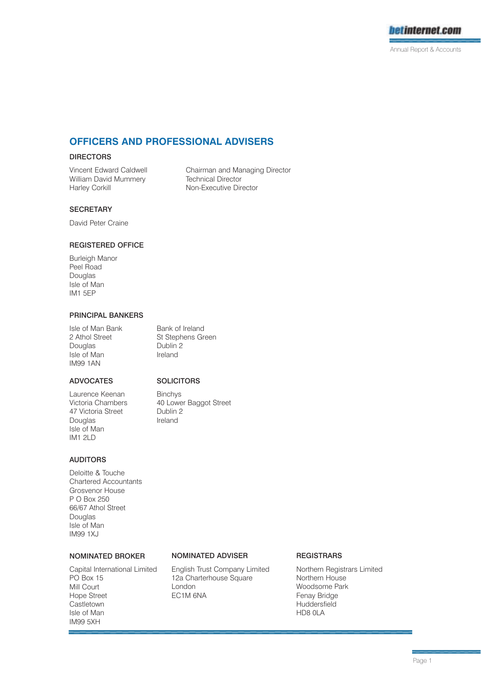

### **OFFICERS AND PROFESSIONAL ADVISERS**

#### DIRECTORS

William David Mummery<br>Harley Corkill

Vincent Edward Caldwell Chairman and Managing Director<br>
William David Mummery Chairman Director Non-Executive Director

#### **SECRETARY**

David Peter Craine

#### REGISTERED OFFICE

Burleigh Manor Peel Road Douglas Isle of Man IM1 5EP

#### PRINCIPAL BANKERS

Isle of Man Bank Bank of Ireland<br>
2 Athol Street St Stephens Gr Douglas Dublin 2 Isle of Man IM99 1AN

St Stephens Green<br>Dublin 2

#### ADVOCATES SOLICITORS

Laurence Keenan Binchys Victoria Chambers 40 Lower Baggot Street<br>47 Victoria Street 17 Dublin 2 47 Victoria Street Douglas Ireland Isle of Man IM1 2LD

#### AUDITORS

Deloitte & Touche Chartered Accountants Grosvenor House P O Box 250 66/67 Athol Street Douglas Isle of Man IM99 1XJ

#### NOMINATED BROKER

Capital International Limited PO Box 15 Mill Court Hope Street **Castletown** Isle of Man IM99 5XH

### NOMINATED ADVISER

English Trust Company Limited 12a Charterhouse Square London EC1M 6NA

#### **REGISTRARS**

Northern Registrars Limited Northern House Woodsome Park Fenay Bridge Huddersfield HD8 0LA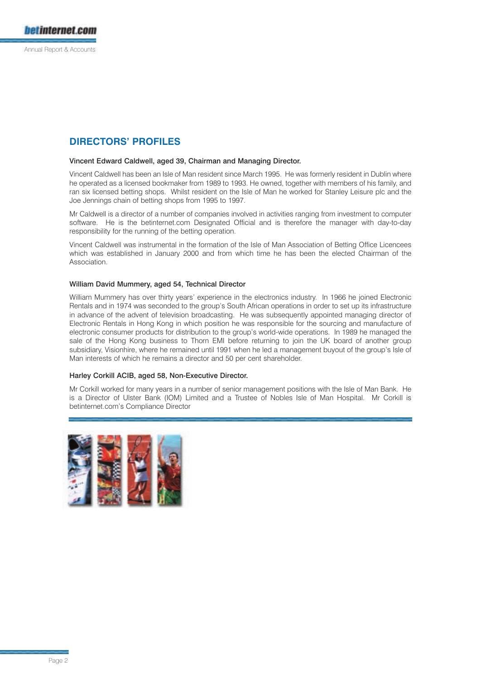Annual Report & Accounts

### **DIRECTORS' PROFILES**

#### Vincent Edward Caldwell, aged 39, Chairman and Managing Director.

Vincent Caldwell has been an Isle of Man resident since March 1995. He was formerly resident in Dublin where he operated as a licensed bookmaker from 1989 to 1993. He owned, together with members of his family, and ran six licensed betting shops. Whilst resident on the Isle of Man he worked for Stanley Leisure plc and the Joe Jennings chain of betting shops from 1995 to 1997.

Mr Caldwell is a director of a number of companies involved in activities ranging from investment to computer software. He is the betinternet.com Designated Official and is therefore the manager with day-to-day responsibility for the running of the betting operation.

Vincent Caldwell was instrumental in the formation of the Isle of Man Association of Betting Office Licencees which was established in January 2000 and from which time he has been the elected Chairman of the Association.

#### William David Mummery, aged 54, Technical Director

William Mummery has over thirty years' experience in the electronics industry. In 1966 he joined Electronic Rentals and in 1974 was seconded to the group's South African operations in order to set up its infrastructure in advance of the advent of television broadcasting. He was subsequently appointed managing director of Electronic Rentals in Hong Kong in which position he was responsible for the sourcing and manufacture of electronic consumer products for distribution to the group's world-wide operations. In 1989 he managed the sale of the Hong Kong business to Thorn EMI before returning to join the UK board of another group subsidiary, Visionhire, where he remained until 1991 when he led a management buyout of the group's Isle of Man interests of which he remains a director and 50 per cent shareholder.

#### Harley Corkill ACIB, aged 58, Non-Executive Director.

Mr Corkill worked for many years in a number of senior management positions with the Isle of Man Bank. He is a Director of Ulster Bank (IOM) Limited and a Trustee of Nobles Isle of Man Hospital. Mr Corkill is betinternet.com's Compliance Director

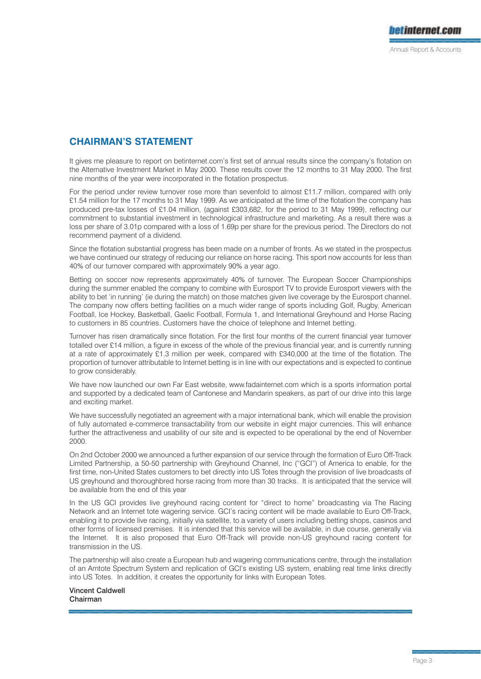### **CHAIRMAN'S STATEMENT**

It gives me pleasure to report on betinternet.com's first set of annual results since the company's flotation on the Alternative Investment Market in May 2000. These results cover the 12 months to 31 May 2000. The first nine months of the year were incorporated in the flotation prospectus.

For the period under review turnover rose more than sevenfold to almost £11.7 million, compared with only £1.54 million for the 17 months to 31 May 1999. As we anticipated at the time of the flotation the company has produced pre-tax losses of £1.04 million, (against £303,682, for the period to 31 May 1999), reflecting our commitment to substantial investment in technological infrastructure and marketing. As a result there was a loss per share of 3.01p compared with a loss of 1.69p per share for the previous period. The Directors do not recommend payment of a dividend.

Since the flotation substantial progress has been made on a number of fronts. As we stated in the prospectus we have continued our strategy of reducing our reliance on horse racing. This sport now accounts for less than 40% of our turnover compared with approximately 90% a year ago.

Betting on soccer now represents approximately 40% of turnover. The European Soccer Championships during the summer enabled the company to combine with Eurosport TV to provide Eurosport viewers with the ability to bet 'in running' (ie during the match) on those matches given live coverage by the Eurosport channel. The company now offers betting facilities on a much wider range of sports including Golf, Rugby, American Football, Ice Hockey, Basketball, Gaelic Football, Formula 1, and International Greyhound and Horse Racing to customers in 85 countries. Customers have the choice of telephone and Internet betting.

Turnover has risen dramatically since flotation. For the first four months of the current financial year turnover totalled over £14 million, a figure in excess of the whole of the previous financial year, and is currently running at a rate of approximately £1.3 million per week, compared with £340,000 at the time of the flotation. The proportion of turnover attributable to Internet betting is in line with our expectations and is expected to continue to grow considerably.

We have now launched our own Far East website, www.fadainternet.com which is a sports information portal and supported by a dedicated team of Cantonese and Mandarin speakers, as part of our drive into this large and exciting market.

We have successfully negotiated an agreement with a major international bank, which will enable the provision of fully automated e-commerce transactability from our website in eight major currencies. This will enhance further the attractiveness and usability of our site and is expected to be operational by the end of November 2000.

On 2nd October 2000 we announced a further expansion of our service through the formation of Euro Off-Track Limited Partnership, a 50-50 partnership with Greyhound Channel, Inc ("GCI") of America to enable, for the first time, non-United States customers to bet directly into US Totes through the provision of live broadcasts of US greyhound and thoroughbred horse racing from more than 30 tracks. It is anticipated that the service will be available from the end of this year

In the US GCI provides live greyhound racing content for "direct to home" broadcasting via The Racing Network and an Internet tote wagering service. GCI's racing content will be made available to Euro Off-Track, enabling it to provide live racing, initially via satellite, to a variety of users including betting shops, casinos and other forms of licensed premises. It is intended that this service will be available, in due course, generally via the Internet. It is also proposed that Euro Off-Track will provide non-US greyhound racing content for transmission in the US.

The partnership will also create a European hub and wagering communications centre, through the installation of an Amtote Spectrum System and replication of GCI's existing US system, enabling real time links directly into US Totes. In addition, it creates the opportunity for links with European Totes.

Vincent Caldwell Chairman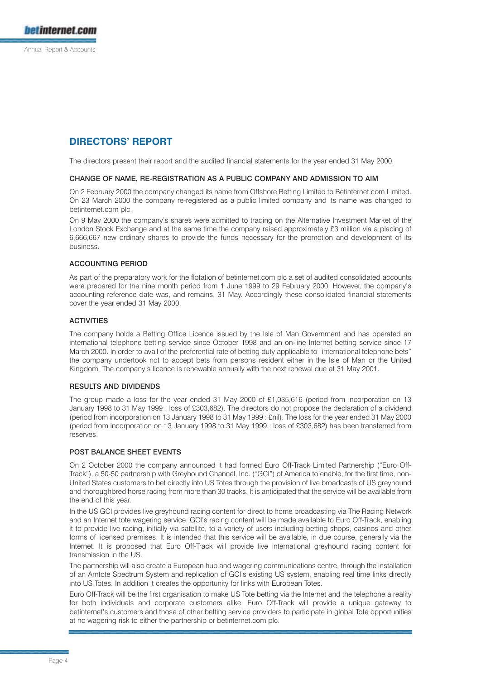### **DIRECTORS' REPORT**

The directors present their report and the audited financial statements for the year ended 31 May 2000.

#### CHANGE OF NAME, RE-REGISTRATION AS A PUBLIC COMPANY AND ADMISSION TO AIM

On 2 February 2000 the company changed its name from Offshore Betting Limited to Betinternet.com Limited. On 23 March 2000 the company re-registered as a public limited company and its name was changed to betinternet.com plc.

On 9 May 2000 the company's shares were admitted to trading on the Alternative Investment Market of the London Stock Exchange and at the same time the company raised approximately £3 million via a placing of 6,666,667 new ordinary shares to provide the funds necessary for the promotion and development of its business.

#### ACCOUNTING PERIOD

As part of the preparatory work for the flotation of betinternet.com plc a set of audited consolidated accounts were prepared for the nine month period from 1 June 1999 to 29 February 2000. However, the company's accounting reference date was, and remains, 31 May. Accordingly these consolidated financial statements cover the year ended 31 May 2000.

#### **ACTIVITIES**

The company holds a Betting Office Licence issued by the Isle of Man Government and has operated an international telephone betting service since October 1998 and an on-line Internet betting service since 17 March 2000. In order to avail of the preferential rate of betting duty applicable to "international telephone bets" the company undertook not to accept bets from persons resident either in the Isle of Man or the United Kingdom. The company's licence is renewable annually with the next renewal due at 31 May 2001.

#### RESULTS AND DIVIDENDS

The group made a loss for the year ended 31 May 2000 of £1,035,616 (period from incorporation on 13 January 1998 to 31 May 1999 : loss of £303,682). The directors do not propose the declaration of a dividend (period from incorporation on 13 January 1998 to 31 May 1999 : £nil). The loss for the year ended 31 May 2000 (period from incorporation on 13 January 1998 to 31 May 1999 : loss of £303,682) has been transferred from reserves.

#### POST BALANCE SHEET EVENTS

On 2 October 2000 the company announced it had formed Euro Off-Track Limited Partnership ("Euro Off-Track"), a 50-50 partnership with Greyhound Channel, Inc. ("GCI") of America to enable, for the first time, non-United States customers to bet directly into US Totes through the provision of live broadcasts of US greyhound and thoroughbred horse racing from more than 30 tracks. It is anticipated that the service will be available from the end of this year.

In the US GCI provides live greyhound racing content for direct to home broadcasting via The Racing Network and an Internet tote wagering service. GCI's racing content will be made available to Euro Off-Track, enabling it to provide live racing, initially via satellite, to a variety of users including betting shops, casinos and other forms of licensed premises. It is intended that this service will be available, in due course, generally via the Internet. It is proposed that Euro Off-Track will provide live international greyhound racing content for transmission in the US.

The partnership will also create a European hub and wagering communications centre, through the installation of an Amtote Spectrum System and replication of GCI's existing US system, enabling real time links directly into US Totes. In addition it creates the opportunity for links with European Totes.

Euro Off-Track will be the first organisation to make US Tote betting via the Internet and the telephone a reality for both individuals and corporate customers alike. Euro Off-Track will provide a unique gateway to betinternet's customers and those of other betting service providers to participate in global Tote opportunities at no wagering risk to either the partnership or betinternet.com plc.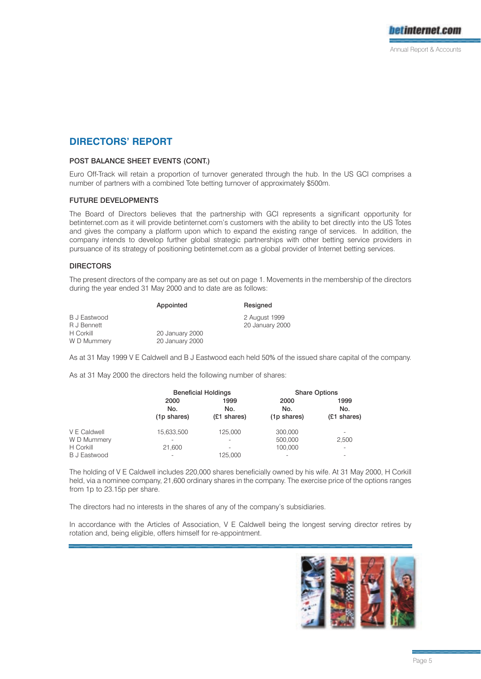### **DIRECTORS' REPORT**

#### POST BALANCE SHEET EVENTS (CONT.)

Euro Off-Track will retain a proportion of turnover generated through the hub. In the US GCI comprises a number of partners with a combined Tote betting turnover of approximately \$500m.

#### FUTURE DEVELOPMENTS

The Board of Directors believes that the partnership with GCI represents a significant opportunity for betinternet.com as it will provide betinternet.com's customers with the ability to bet directly into the US Totes and gives the company a platform upon which to expand the existing range of services. In addition, the company intends to develop further global strategic partnerships with other betting service providers in pursuance of its strategy of positioning betinternet.com as a global provider of Internet betting services.

#### **DIRECTORS**

The present directors of the company are as set out on page 1. Movements in the membership of the directors during the year ended 31 May 2000 and to date are as follows:

|                             | Appointed       | Resigned                         |
|-----------------------------|-----------------|----------------------------------|
| B J Eastwood<br>R J Bennett |                 | 2 August 1999<br>20 January 2000 |
| H Corkill                   | 20 January 2000 |                                  |
| W D Mummery                 | 20 January 2000 |                                  |

As at 31 May 1999 V E Caldwell and B J Eastwood each held 50% of the issued share capital of the company.

As at 31 May 2000 the directors held the following number of shares:

|                     | <b>Beneficial Holdings</b> |                                      | <b>Share Options</b>       |                            |
|---------------------|----------------------------|--------------------------------------|----------------------------|----------------------------|
|                     | 2000<br>No.<br>(1p shares) | 1999<br>No.<br>$(E1 \text{ shares})$ | 2000<br>No.<br>(1p shares) | 1999<br>No.<br>(£1 shares) |
| V E Caldwell        | 15,633,500                 | 125.000                              | 300,000                    |                            |
| W D Mummery         | -                          |                                      | 500,000                    | 2,500                      |
| H Corkill           | 21,600                     |                                      | 100.000                    | ۰                          |
| <b>B</b> J Eastwood | $\overline{\phantom{a}}$   | 125.000                              | $\overline{\phantom{0}}$   |                            |

The holding of V E Caldwell includes 220,000 shares beneficially owned by his wife. At 31 May 2000, H Corkill held, via a nominee company, 21,600 ordinary shares in the company. The exercise price of the options ranges from 1p to 23.15p per share.

The directors had no interests in the shares of any of the company's subsidiaries.

In accordance with the Articles of Association, V E Caldwell being the longest serving director retires by rotation and, being eligible, offers himself for re-appointment.

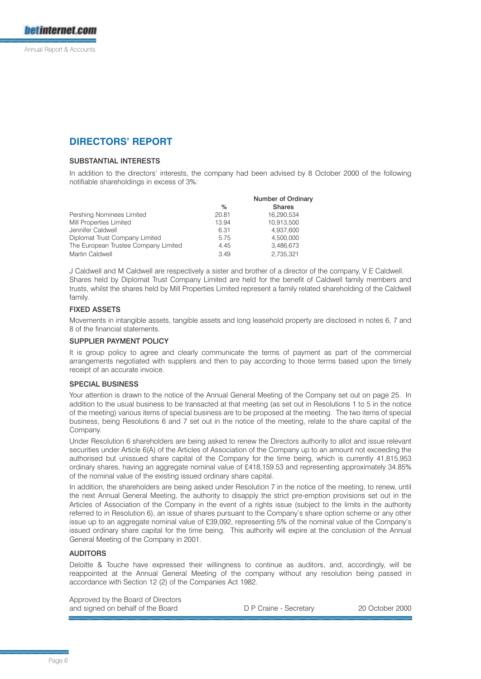### **DIRECTORS' REPORT**

#### SUBSTANTIAL INTERESTS

In addition to the directors' interests, the company had been advised by 8 October 2000 of the following notifiable shareholdings in excess of 3%:

|                                      |       | Number of Ordinary |
|--------------------------------------|-------|--------------------|
|                                      | $\%$  | <b>Shares</b>      |
| Pershing Nominees Limited            | 20.81 | 16,290,534         |
| Mill Properties Limited              | 13.94 | 10,913,500         |
| Jennifer Caldwell                    | 6.31  | 4.937.600          |
| Diplomat Trust Company Limited       | 5.75  | 4,500,000          |
| The European Trustee Company Limited | 4.45  | 3,486,673          |
| Martin Caldwell                      | 3.49  | 2,735,321          |

J Caldwell and M Caldwell are respectively a sister and brother of a director of the company, V E Caldwell. Shares held by Diplomat Trust Company Limited are held for the benefit of Caldwell family members and trusts, whilst the shares held by Mill Properties Limited represent a family related shareholding of the Caldwell family.

#### FIXED ASSETS

Movements in intangible assets, tangible assets and long leasehold property are disclosed in notes 6, 7 and 8 of the financial statements.

#### SUPPLIER PAYMENT POLICY

It is group policy to agree and clearly communicate the terms of payment as part of the commercial arrangements negotiated with suppliers and then to pay according to those terms based upon the timely receipt of an accurate invoice.

#### SPECIAL BUSINESS

Your attention is drawn to the notice of the Annual General Meeting of the Company set out on page 25. In addition to the usual business to be transacted at that meeting (as set out in Resolutions 1 to 5 in the notice of the meeting) various items of special business are to be proposed at the meeting. The two items of special business, being Resolutions 6 and 7 set out in the notice of the meeting, relate to the share capital of the Company.

Under Resolution 6 shareholders are being asked to renew the Directors authority to allot and issue relevant securities under Article 6(A) of the Articles of Association of the Company up to an amount not exceeding the authorised but unissued share capital of the Company for the time being, which is currently 41,815,953 ordinary shares, having an aggregate nominal value of £418,159.53 and representing approximately 34.85% of the nominal value of the existing issued ordinary share capital.

In addition, the shareholders are being asked under Resolution 7 in the notice of the meeting, to renew, until the next Annual General Meeting, the authority to disapply the strict pre-emption provisions set out in the Articles of Association of the Company in the event of a rights issue (subject to the limits in the authority referred to in Resolution 6), an issue of shares pursuant to the Company's share option scheme or any other issue up to an aggregate nominal value of £39,092, representing 5% of the nominal value of the Company's issued ordinary share capital for the time being. This authority will expire at the conclusion of the Annual General Meeting of the Company in 2001.

#### AUDITORS

Deloitte & Touche have expressed their willingness to continue as auditors, and, accordingly, will be reappointed at the Annual General Meeting of the company without any resolution being passed in accordance with Section 12 (2) of the Companies Act 1982.

Approved by the Board of Directors and signed on behalf of the Board D P Craine - Secretary 20 October 2000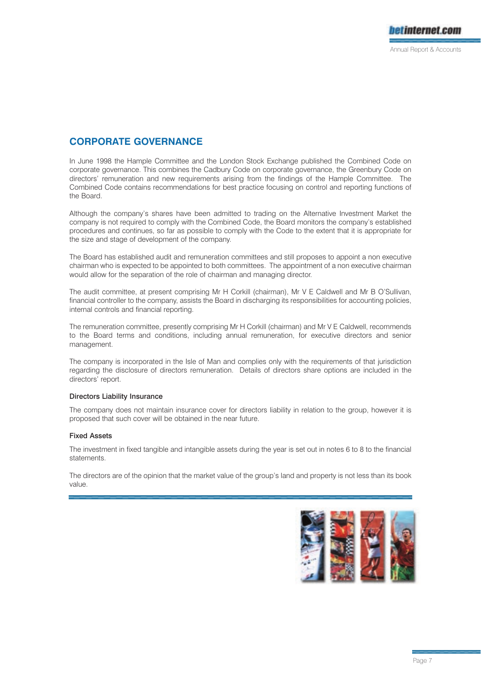### **CORPORATE GOVERNANCE**

In June 1998 the Hample Committee and the London Stock Exchange published the Combined Code on corporate governance. This combines the Cadbury Code on corporate governance, the Greenbury Code on directors' remuneration and new requirements arising from the findings of the Hample Committee. The Combined Code contains recommendations for best practice focusing on control and reporting functions of the Board.

Although the company's shares have been admitted to trading on the Alternative Investment Market the company is not required to comply with the Combined Code, the Board monitors the company's established procedures and continues, so far as possible to comply with the Code to the extent that it is appropriate for the size and stage of development of the company.

The Board has established audit and remuneration committees and still proposes to appoint a non executive chairman who is expected to be appointed to both committees. The appointment of a non executive chairman would allow for the separation of the role of chairman and managing director.

The audit committee, at present comprising Mr H Corkill (chairman), Mr V E Caldwell and Mr B O'Sullivan, financial controller to the company, assists the Board in discharging its responsibilities for accounting policies, internal controls and financial reporting.

The remuneration committee, presently comprising Mr H Corkill (chairman) and Mr V E Caldwell, recommends to the Board terms and conditions, including annual remuneration, for executive directors and senior management.

The company is incorporated in the Isle of Man and complies only with the requirements of that jurisdiction regarding the disclosure of directors remuneration. Details of directors share options are included in the directors' report.

#### Directors Liability Insurance

The company does not maintain insurance cover for directors liability in relation to the group, however it is proposed that such cover will be obtained in the near future.

#### Fixed Assets

The investment in fixed tangible and intangible assets during the year is set out in notes 6 to 8 to the financial statements.

The directors are of the opinion that the market value of the group's land and property is not less than its book value.

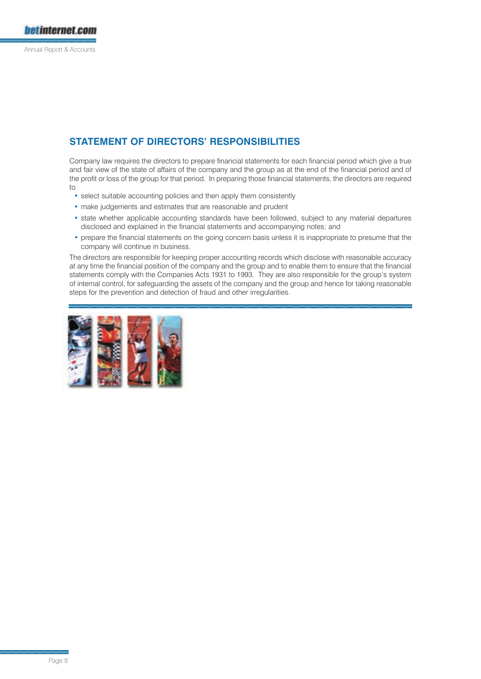### **STATEMENT OF DIRECTORS' RESPONSIBILITIES**

Company law requires the directors to prepare financial statements for each financial period which give a true and fair view of the state of affairs of the company and the group as at the end of the financial period and of the profit or loss of the group for that period. In preparing those financial statements, the directors are required to

- select suitable accounting policies and then apply them consistently
- make judgements and estimates that are reasonable and prudent
- state whether applicable accounting standards have been followed, subject to any material departures disclosed and explained in the financial statements and accompanying notes; and
- prepare the financial statements on the going concern basis unless it is inappropriate to presume that the company will continue in business.

The directors are responsible for keeping proper accounting records which disclose with reasonable accuracy at any time the financial position of the company and the group and to enable them to ensure that the financial statements comply with the Companies Acts 1931 to 1993. They are also responsible for the group's system of internal control, for safeguarding the assets of the company and the group and hence for taking reasonable steps for the prevention and detection of fraud and other irregularities.

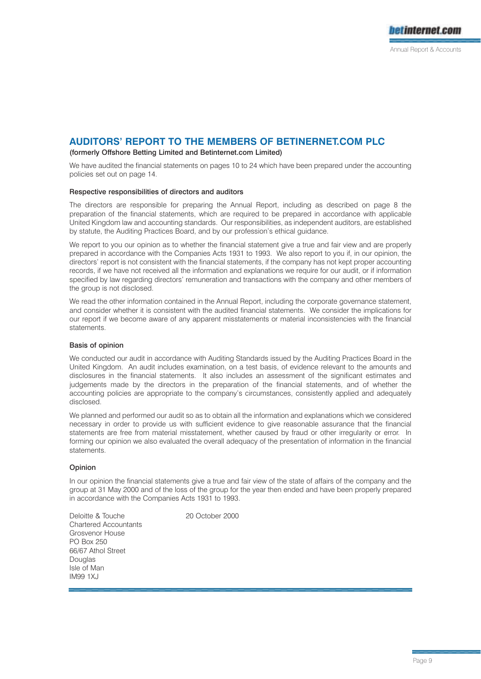### **AUDITORS' REPORT TO THE MEMBERS OF BETINERNET.COM PLC**

(formerly Offshore Betting Limited and Betinternet.com Limited)

We have audited the financial statements on pages 10 to 24 which have been prepared under the accounting policies set out on page 14.

#### Respective responsibilities of directors and auditors

The directors are responsible for preparing the Annual Report, including as described on page 8 the preparation of the financial statements, which are required to be prepared in accordance with applicable United Kingdom law and accounting standards. Our responsibilities, as independent auditors, are established by statute, the Auditing Practices Board, and by our profession's ethical guidance.

We report to you our opinion as to whether the financial statement give a true and fair view and are properly prepared in accordance with the Companies Acts 1931 to 1993. We also report to you if, in our opinion, the directors' report is not consistent with the financial statements, if the company has not kept proper accounting records, if we have not received all the information and explanations we require for our audit, or if information specified by law regarding directors' remuneration and transactions with the company and other members of the group is not disclosed.

We read the other information contained in the Annual Report, including the corporate governance statement, and consider whether it is consistent with the audited financial statements. We consider the implications for our report if we become aware of any apparent misstatements or material inconsistencies with the financial statements.

#### Basis of opinion

We conducted our audit in accordance with Auditing Standards issued by the Auditing Practices Board in the United Kingdom. An audit includes examination, on a test basis, of evidence relevant to the amounts and disclosures in the financial statements. It also includes an assessment of the significant estimates and judgements made by the directors in the preparation of the financial statements, and of whether the accounting policies are appropriate to the company's circumstances, consistently applied and adequately disclosed.

We planned and performed our audit so as to obtain all the information and explanations which we considered necessary in order to provide us with sufficient evidence to give reasonable assurance that the financial statements are free from material misstatement, whether caused by fraud or other irregularity or error. In forming our opinion we also evaluated the overall adequacy of the presentation of information in the financial statements.

#### Opinion

In our opinion the financial statements give a true and fair view of the state of affairs of the company and the group at 31 May 2000 and of the loss of the group for the year then ended and have been properly prepared in accordance with the Companies Acts 1931 to 1993.

Deloitte & Touche 2000 Chartered Accountants Grosvenor House PO Box 250 66/67 Athol Street Douglas Isle of Man IM99 1XJ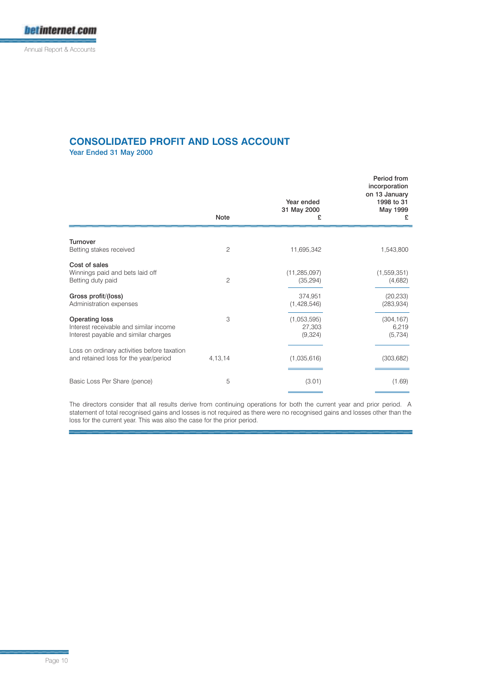Annual Report & Accounts

### **CONSOLIDATED PROFIT AND LOSS ACCOUNT**

Year Ended 31 May 2000

|                                                                                                         |                | Year ended<br>31 May 2000        | Period from<br>incorporation<br>on 13 January<br>1998 to 31<br>May 1999 |
|---------------------------------------------------------------------------------------------------------|----------------|----------------------------------|-------------------------------------------------------------------------|
|                                                                                                         | Note           | £                                | £                                                                       |
| <b>Turnover</b><br>Betting stakes received                                                              | 2              | 11,695,342                       | 1,543,800                                                               |
| Cost of sales<br>Winnings paid and bets laid off<br>Betting duty paid                                   | $\overline{c}$ | (11, 285, 097)<br>(35, 294)      | (1,559,351)<br>(4,682)                                                  |
| Gross profit/(loss)<br>Administration expenses                                                          |                | 374,951<br>(1,428,546)           | (20, 233)<br>(283, 934)                                                 |
| <b>Operating loss</b><br>Interest receivable and similar income<br>Interest payable and similar charges | 3              | (1,053,595)<br>27,303<br>(9,324) | (304, 167)<br>6,219<br>(5,734)                                          |
| Loss on ordinary activities before taxation<br>and retained loss for the year/period                    | 4, 13, 14      | (1,035,616)                      | (303, 682)                                                              |
| Basic Loss Per Share (pence)                                                                            | 5              | (3.01)                           | (1.69)                                                                  |

The directors consider that all results derive from continuing operations for both the current year and prior period. A statement of total recognised gains and losses is not required as there were no recognised gains and losses other than the loss for the current year. This was also the case for the prior period.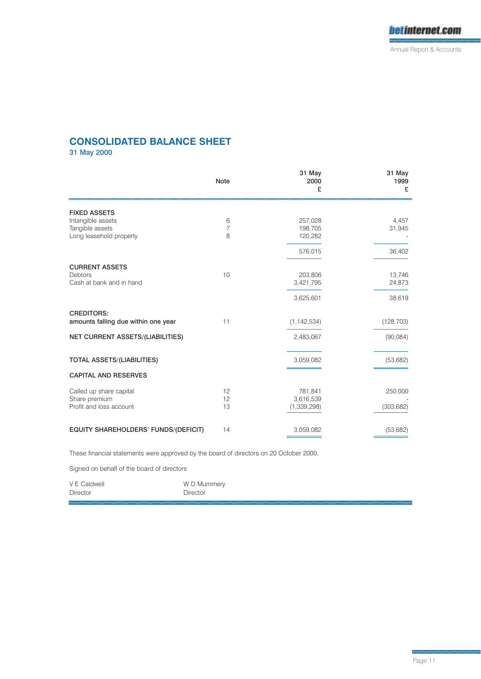

### **CONSOLIDATED BALANCE SHEET**

31 May 2000

|                                                                                              | <b>Note</b>              | 31 May<br>2000<br>£                      | 31 May<br>1999<br>£        |
|----------------------------------------------------------------------------------------------|--------------------------|------------------------------------------|----------------------------|
| <b>FIXED ASSETS</b><br>Intangible assets<br>Tangible assets<br>Long leasehold property       | 6<br>$\overline{7}$<br>8 | 257,028<br>198,705<br>120,282<br>576,015 | 4,457<br>31,945<br>36,402  |
| <b>CURRENT ASSETS</b><br><b>Debtors</b><br>Cash at bank and in hand                          | 10                       | 203,806<br>3,421,795<br>3,625,601        | 13,746<br>24,873<br>38,619 |
| <b>CREDITORS:</b><br>amounts falling due within one year<br>NET CURRENT ASSETS/(LIABILITIES) | 11                       | (1, 142, 534)<br>2,483,067               | (128, 703)<br>(90,084)     |
| <b>TOTAL ASSETS/(LIABILITIES)</b><br><b>CAPITAL AND RESERVES</b>                             |                          | 3,059,082                                | (53, 682)                  |
| Called up share capital<br>Share premium<br>Profit and loss account                          | 12<br>12<br>13           | 781,841<br>3,616,539<br>(1,339,298)      | 250,000<br>(303, 682)      |
| EQUITY SHAREHOLDERS' FUNDS/(DEFICIT)                                                         | 14                       | 3,059,082                                | (53, 682)                  |

These financial statements were approved by the board of directors on 20 October 2000.

Signed on behalf of the board of directors

| V E Caldwell    | W D Mummery |
|-----------------|-------------|
| <b>Director</b> | Director    |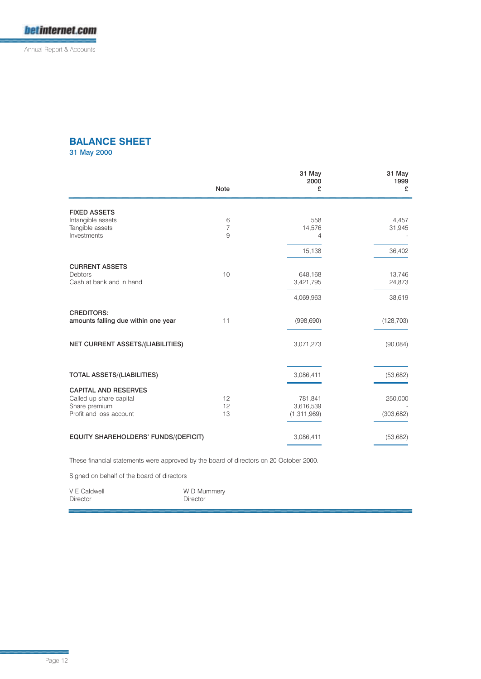Annual Report & Accounts

### **BALANCE SHEET**

31 May 2000

|                                                                                                    | <b>Note</b>              | 31 May<br>2000<br>£                   | 31 May<br>1999<br>£   |
|----------------------------------------------------------------------------------------------------|--------------------------|---------------------------------------|-----------------------|
|                                                                                                    |                          |                                       |                       |
| <b>FIXED ASSETS</b><br>Intangible assets<br>Tangible assets<br>Investments                         | 6<br>$\overline{7}$<br>9 | 558<br>14,576<br>4                    | 4,457<br>31,945       |
|                                                                                                    |                          | 15,138                                | 36,402                |
| <b>CURRENT ASSETS</b><br>Debtors<br>Cash at bank and in hand                                       | 10                       | 648,168<br>3,421,795                  | 13,746<br>24,873      |
|                                                                                                    |                          | 4,069,963                             | 38,619                |
| <b>CREDITORS:</b><br>amounts falling due within one year                                           | 11                       | (998, 690)                            | (128, 703)            |
| <b>NET CURRENT ASSETS/(LIABILITIES)</b>                                                            |                          | 3,071,273                             | (90,084)              |
|                                                                                                    |                          |                                       |                       |
| <b>TOTAL ASSETS/(LIABILITIES)</b>                                                                  |                          | 3,086,411                             | (53, 682)             |
| <b>CAPITAL AND RESERVES</b><br>Called up share capital<br>Share premium<br>Profit and loss account | 12<br>12<br>13           | 781,841<br>3,616,539<br>(1, 311, 969) | 250,000<br>(303, 682) |
| EQUITY SHAREHOLDERS' FUNDS/(DEFICIT)                                                               |                          | 3,086,411                             | (53,682)              |

These financial statements were approved by the board of directors on 20 October 2000.

Signed on behalf of the board of directors

| V E Caldwell    | W D Mummery |
|-----------------|-------------|
| <b>Director</b> | Director    |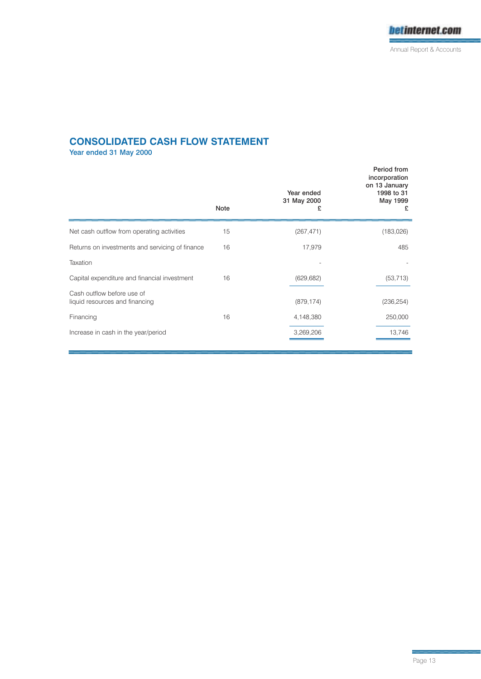### **CONSOLIDATED CASH FLOW STATEMENT**

Year ended 31 May 2000

|                                                              | Note | Year ended<br>31 May 2000<br>£ | Period from<br>incorporation<br>on 13 January<br>1998 to 31<br>May 1999<br>£ |
|--------------------------------------------------------------|------|--------------------------------|------------------------------------------------------------------------------|
| Net cash outflow from operating activities                   | 15   | (267, 471)                     | (183,026)                                                                    |
| Returns on investments and servicing of finance              | 16   | 17,979                         | 485                                                                          |
| Taxation                                                     |      |                                |                                                                              |
| Capital expenditure and financial investment                 | 16   | (629, 682)                     | (53, 713)                                                                    |
| Cash outflow before use of<br>liquid resources and financing |      | (879, 174)                     | (236, 254)                                                                   |
| Financing                                                    | 16   | 4,148,380                      | 250,000                                                                      |
| Increase in cash in the year/period                          |      | 3,269,206                      | 13,746                                                                       |
|                                                              |      |                                |                                                                              |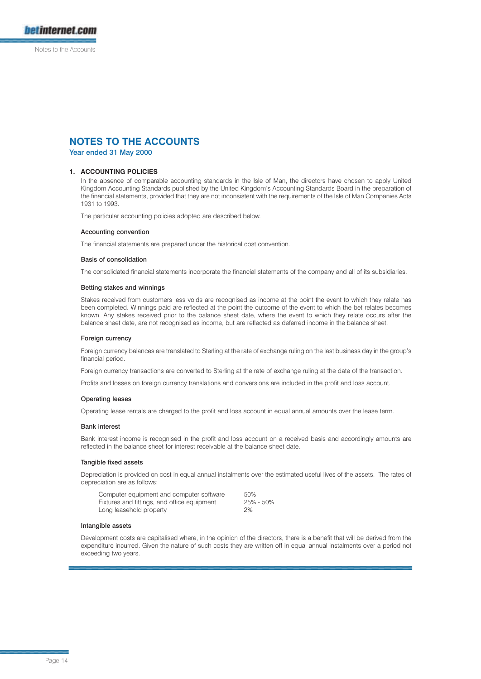#### Year ended 31 May 2000

#### **1. ACCOUNTING POLICIES**

In the absence of comparable accounting standards in the Isle of Man, the directors have chosen to apply United Kingdom Accounting Standards published by the United Kingdom's Accounting Standards Board in the preparation of the financial statements, provided that they are not inconsistent with the requirements of the Isle of Man Companies Acts 1931 to 1993.

The particular accounting policies adopted are described below.

#### Accounting convention

The financial statements are prepared under the historical cost convention.

#### Basis of consolidation

The consolidated financial statements incorporate the financial statements of the company and all of its subsidiaries.

#### Betting stakes and winnings

Stakes received from customers less voids are recognised as income at the point the event to which they relate has been completed. Winnings paid are reflected at the point the outcome of the event to which the bet relates becomes known. Any stakes received prior to the balance sheet date, where the event to which they relate occurs after the balance sheet date, are not recognised as income, but are reflected as deferred income in the balance sheet.

#### Foreign currency

Foreign currency balances are translated to Sterling at the rate of exchange ruling on the last business day in the group's financial period.

Foreign currency transactions are converted to Sterling at the rate of exchange ruling at the date of the transaction.

Profits and losses on foreign currency translations and conversions are included in the profit and loss account.

#### Operating leases

Operating lease rentals are charged to the profit and loss account in equal annual amounts over the lease term.

#### Bank interest

Bank interest income is recognised in the profit and loss account on a received basis and accordingly amounts are reflected in the balance sheet for interest receivable at the balance sheet date.

#### Tangible fixed assets

Depreciation is provided on cost in equal annual instalments over the estimated useful lives of the assets. The rates of depreciation are as follows:

| Computer equipment and computer software    | 50%       |
|---------------------------------------------|-----------|
| Fixtures and fittings, and office equipment | 25% - 50% |
| Long leasehold property                     | 2%        |

#### Intangible assets

Development costs are capitalised where, in the opinion of the directors, there is a benefit that will be derived from the expenditure incurred. Given the nature of such costs they are written off in equal annual instalments over a period not exceeding two years.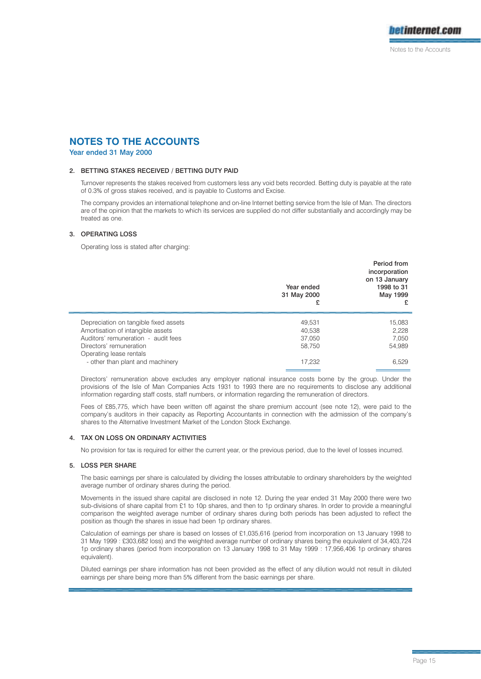#### Year ended 31 May 2000

#### 2. BETTING STAKES RECEIVED / BETTING DUTY PAID

Turnover represents the stakes received from customers less any void bets recorded. Betting duty is payable at the rate of 0.3% of gross stakes received, and is payable to Customs and Excise.

The company provides an international telephone and on-line Internet betting service from the Isle of Man. The directors are of the opinion that the markets to which its services are supplied do not differ substantially and accordingly may be treated as one.

#### 3. OPERATING LOSS

Operating loss is stated after charging:

|                                                                                                                                              | Year ended<br>31 May 2000<br>£       | Period from<br>incorporation<br>on 13 January<br>1998 to 31<br>May 1999<br>£ |
|----------------------------------------------------------------------------------------------------------------------------------------------|--------------------------------------|------------------------------------------------------------------------------|
| Depreciation on tangible fixed assets<br>Amortisation of intangible assets<br>Auditors' remuneration - audit fees<br>Directors' remuneration | 49.531<br>40,538<br>37,050<br>58,750 | 15,083<br>2,228<br>7,050<br>54,989                                           |
| Operating lease rentals<br>- other than plant and machinery                                                                                  | 17,232                               | 6,529                                                                        |

Directors' remuneration above excludes any employer national insurance costs borne by the group. Under the provisions of the Isle of Man Companies Acts 1931 to 1993 there are no requirements to disclose any additional information regarding staff costs, staff numbers, or information regarding the remuneration of directors.

Fees of £85,775, which have been written off against the share premium account (see note 12), were paid to the company's auditors in their capacity as Reporting Accountants in connection with the admission of the company's shares to the Alternative Investment Market of the London Stock Exchange.

#### 4. TAX ON LOSS ON ORDINARY ACTIVITIES

No provision for tax is required for either the current year, or the previous period, due to the level of losses incurred.

#### 5. LOSS PER SHARE

The basic earnings per share is calculated by dividing the losses attributable to ordinary shareholders by the weighted average number of ordinary shares during the period.

Movements in the issued share capital are disclosed in note 12. During the year ended 31 May 2000 there were two sub-divisions of share capital from £1 to 10p shares, and then to 1p ordinary shares. In order to provide a meaningful comparison the weighted average number of ordinary shares during both periods has been adjusted to reflect the position as though the shares in issue had been 1p ordinary shares.

Calculation of earnings per share is based on losses of £1,035,616 (period from incorporation on 13 January 1998 to 31 May 1999 : £303,682 loss) and the weighted average number of ordinary shares being the equivalent of 34,403,724 1p ordinary shares (period from incorporation on 13 January 1998 to 31 May 1999 : 17,956,406 1p ordinary shares equivalent).

Diluted earnings per share information has not been provided as the effect of any dilution would not result in diluted earnings per share being more than 5% different from the basic earnings per share.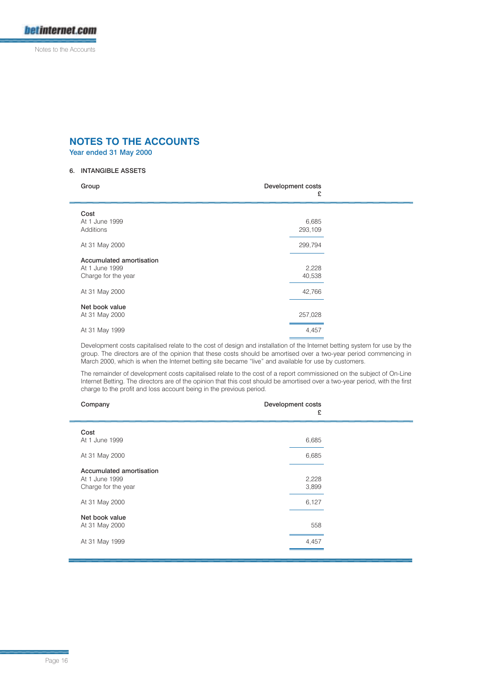Notes to the Accounts

### **NOTES TO THE ACCOUNTS**

Year ended 31 May 2000

#### 6. INTANGIBLE ASSETS

| Group                                                                               | Development costs<br>£     |  |
|-------------------------------------------------------------------------------------|----------------------------|--|
| Cost<br>At 1 June 1999<br><b>Additions</b>                                          | 6,685<br>293,109           |  |
| At 31 May 2000<br>Accumulated amortisation<br>At 1 June 1999<br>Charge for the year | 299,794<br>2,228<br>40,538 |  |
| At 31 May 2000                                                                      | 42,766                     |  |
| Net book value<br>At 31 May 2000                                                    | 257,028                    |  |
| At 31 May 1999                                                                      | 4,457                      |  |

Development costs capitalised relate to the cost of design and installation of the Internet betting system for use by the group. The directors are of the opinion that these costs should be amortised over a two-year period commencing in March 2000, which is when the Internet betting site became "live" and available for use by customers.

The remainder of development costs capitalised relate to the cost of a report commissioned on the subject of On-Line Internet Betting. The directors are of the opinion that this cost should be amortised over a two-year period, with the first charge to the profit and loss account being in the previous period.

| Company                  | Development costs<br>£ |  |
|--------------------------|------------------------|--|
| Cost                     |                        |  |
| At 1 June 1999           | 6,685                  |  |
| At 31 May 2000           | 6,685                  |  |
| Accumulated amortisation |                        |  |
| At 1 June 1999           | 2,228                  |  |
| Charge for the year      | 3,899                  |  |
| At 31 May 2000           | 6,127                  |  |
| Net book value           |                        |  |
| At 31 May 2000           | 558                    |  |
| At 31 May 1999           | 4,457                  |  |
|                          |                        |  |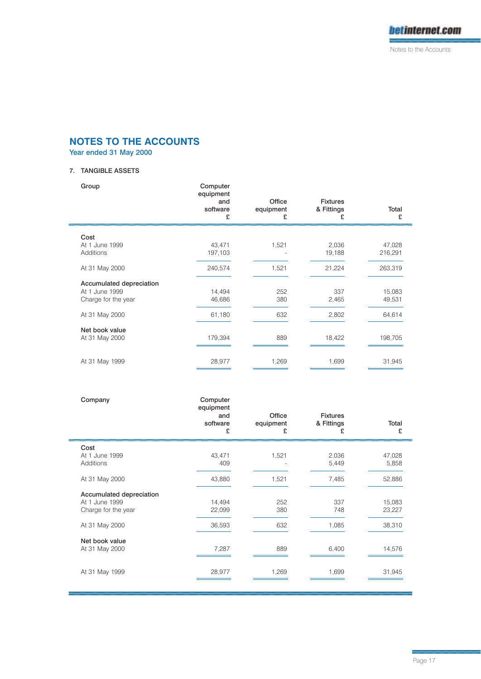

Year ended 31 May 2000

#### 7. TANGIBLE ASSETS

| Group                    | Computer<br>equipment<br>and<br>software<br>£ | Office<br>equipment<br>£ | <b>Fixtures</b><br>& Fittings<br>£ | Total<br>£ |
|--------------------------|-----------------------------------------------|--------------------------|------------------------------------|------------|
| Cost                     |                                               |                          |                                    |            |
| At 1 June 1999           | 43,471                                        | 1,521                    | 2,036                              | 47,028     |
| Additions                | 197,103                                       |                          | 19,188                             | 216,291    |
| At 31 May 2000           | 240,574                                       | 1,521                    | 21,224                             | 263,319    |
| Accumulated depreciation |                                               |                          |                                    |            |
| At 1 June 1999           | 14,494                                        | 252                      | 337                                | 15,083     |
| Charge for the year      | 46,686                                        | 380                      | 2,465                              | 49,531     |
| At 31 May 2000           | 61,180                                        | 632                      | 2,802                              | 64,614     |
| Net book value           |                                               |                          |                                    |            |
| At 31 May 2000           | 179,394                                       | 889                      | 18,422                             | 198,705    |
| At 31 May 1999           | 28,977                                        | 1,269                    | 1,699                              | 31,945     |
|                          |                                               |                          |                                    |            |

| Company                  | Computer<br>equipment<br>and<br>software<br>£ | Office<br>equipment<br>£ | <b>Fixtures</b><br>& Fittings<br>£ | Total<br>£ |
|--------------------------|-----------------------------------------------|--------------------------|------------------------------------|------------|
| Cost                     |                                               |                          |                                    |            |
| At 1 June 1999           | 43,471                                        | 1,521                    | 2,036                              | 47,028     |
| Additions                | 409                                           |                          | 5,449                              | 5,858      |
| At 31 May 2000           | 43,880                                        | 1,521                    | 7,485                              | 52,886     |
| Accumulated depreciation |                                               |                          |                                    |            |
| At 1 June 1999           | 14,494                                        | 252                      | 337                                | 15,083     |
| Charge for the year      | 22,099                                        | 380                      | 748                                | 23,227     |
| At 31 May 2000           | 36,593                                        | 632                      | 1,085                              | 38,310     |
| Net book value           |                                               |                          |                                    |            |
| At 31 May 2000           | 7,287                                         | 889                      | 6,400                              | 14,576     |
| At 31 May 1999           | 28,977                                        | 1,269                    | 1,699                              | 31,945     |
|                          |                                               |                          |                                    |            |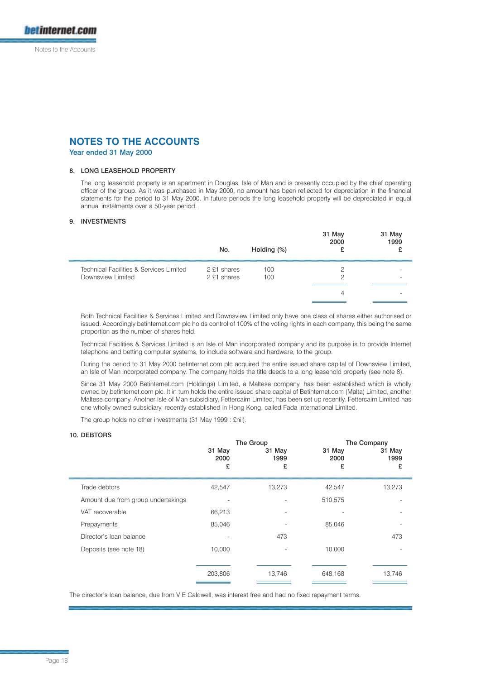Year ended 31 May 2000

#### 8. LONG LEASEHOLD PROPERTY

The long leasehold property is an apartment in Douglas, Isle of Man and is presently occupied by the chief operating officer of the group. As it was purchased in May 2000, no amount has been reflected for depreciation in the financial statements for the period to 31 May 2000. In future periods the long leasehold property will be depreciated in equal annual instalments over a 50-year period.

#### 9. INVESTMENTS

|                                         | No.         | Holding (%) | 31 May<br>2000 | 31 May<br>1999 |
|-----------------------------------------|-------------|-------------|----------------|----------------|
| Technical Facilities & Services Limited | 2 £1 shares | 100         |                |                |
| Downsview Limited                       | 2 £1 shares | 100         |                |                |
|                                         |             |             | 4              |                |
|                                         |             |             |                |                |

Both Technical Facilities & Services Limited and Downsview Limited only have one class of shares either authorised or issued. Accordingly betinternet.com plc holds control of 100% of the voting rights in each company, this being the same proportion as the number of shares held.

Technical Facilities & Services Limited is an Isle of Man incorporated company and its purpose is to provide Internet telephone and betting computer systems, to include software and hardware, to the group.

During the period to 31 May 2000 betinternet.com plc acquired the entire issued share capital of Downsview Limited, an Isle of Man incorporated company. The company holds the title deeds to a long leasehold property (see note 8).

Since 31 May 2000 Betinternet.com (Holdings) Limited, a Maltese company, has been established which is wholly owned by betinternet.com plc. It in turn holds the entire issued share capital of Betinternet.com (Malta) Limited, another Maltese company. Another Isle of Man subsidiary, Fettercairn Limited, has been set up recently. Fettercairn Limited has one wholly owned subsidiary, recently established in Hong Kong, called Fada International Limited.

The group holds no other investments (31 May 1999 : £nil).

#### 10. DEBTORS

|                                    | The Group           |                     |                     |                     |  | The Company |
|------------------------------------|---------------------|---------------------|---------------------|---------------------|--|-------------|
|                                    | 31 May<br>2000<br>£ | 31 May<br>1999<br>£ | 31 May<br>2000<br>£ | 31 May<br>1999<br>£ |  |             |
| Trade debtors                      | 42,547              | 13,273              | 42,547              | 13,273              |  |             |
| Amount due from group undertakings |                     |                     | 510,575             |                     |  |             |
| VAT recoverable                    | 66,213              |                     |                     |                     |  |             |
| Prepayments                        | 85,046              |                     | 85,046              |                     |  |             |
| Director's loan balance            |                     | 473                 |                     | 473                 |  |             |
| Deposits (see note 18)             | 10,000              |                     | 10,000              |                     |  |             |
|                                    | 203,806             | 13,746              | 648,168             | 13,746              |  |             |

The director's loan balance, due from V E Caldwell, was interest free and had no fixed repayment terms.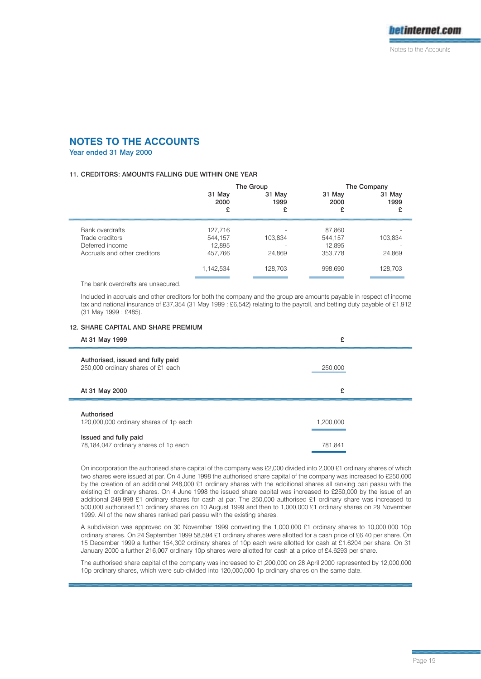Year ended 31 May 2000

#### 11. CREDITORS: AMOUNTS FALLING DUE WITHIN ONE YEAR

|                              | The Group           |                     |                     | The Company         |
|------------------------------|---------------------|---------------------|---------------------|---------------------|
|                              | 31 May<br>2000<br>£ | 31 May<br>1999<br>£ | 31 May<br>2000<br>£ | 31 May<br>1999<br>£ |
|                              |                     |                     |                     |                     |
| Bank overdrafts              | 127,716             |                     | 87,860              |                     |
| Trade creditors              | 544,157             | 103.834             | 544,157             | 103,834             |
| Deferred income              | 12,895              |                     | 12,895              |                     |
| Accruals and other creditors | 457,766             | 24,869              | 353,778             | 24,869              |
|                              | 1,142,534           | 128,703             | 998,690             | 128,703             |

The bank overdrafts are unsecured.

Included in accruals and other creditors for both the company and the group are amounts payable in respect of income tax and national insurance of £37,354 (31 May 1999 : £6,542) relating to the payroll, and betting duty payable of £1,912 (31 May 1999 : £485).

#### 12. SHARE CAPITAL AND SHARE PREMIUM

| At 31 May 1999                                                          | £         |  |
|-------------------------------------------------------------------------|-----------|--|
| Authorised, issued and fully paid<br>250,000 ordinary shares of £1 each | 250,000   |  |
| At 31 May 2000                                                          | £         |  |
| Authorised<br>120,000,000 ordinary shares of 1p each                    | 1,200,000 |  |
| Issued and fully paid<br>78,184,047 ordinary shares of 1p each          | 781,841   |  |

On incorporation the authorised share capital of the company was £2,000 divided into 2,000 £1 ordinary shares of which two shares were issued at par. On 4 June 1998 the authorised share capital of the company was increased to £250,000 by the creation of an additional 248,000 £1 ordinary shares with the additional shares all ranking pari passu with the existing £1 ordinary shares. On 4 June 1998 the issued share capital was increased to £250,000 by the issue of an additional 249,998 £1 ordinary shares for cash at par. The 250,000 authorised £1 ordinary share was increased to 500,000 authorised £1 ordinary shares on 10 August 1999 and then to 1,000,000 £1 ordinary shares on 29 November 1999. All of the new shares ranked pari passu with the existing shares.

A subdivision was approved on 30 November 1999 converting the 1,000,000 £1 ordinary shares to 10,000,000 10p ordinary shares. On 24 September 1999 58,594 £1 ordinary shares were allotted for a cash price of £6.40 per share. On 15 December 1999 a further 154,302 ordinary shares of 10p each were allotted for cash at £1.6204 per share. On 31 January 2000 a further 216,007 ordinary 10p shares were allotted for cash at a price of £4.6293 per share.

The authorised share capital of the company was increased to £1,200,000 on 28 April 2000 represented by 12,000,000 10p ordinary shares, which were sub-divided into 120,000,000 1p ordinary shares on the same date.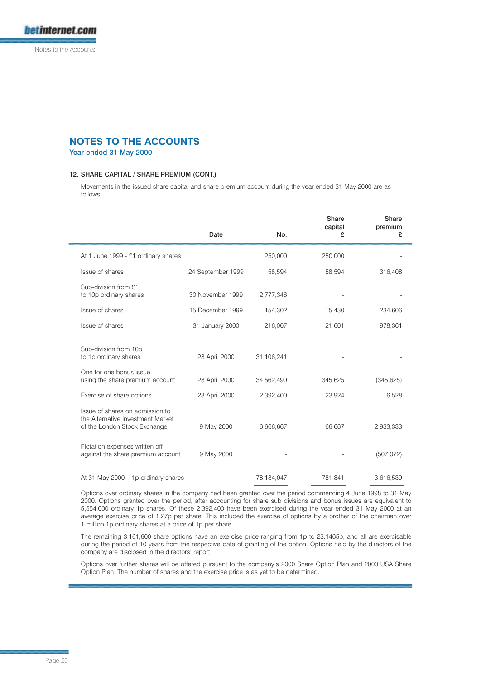#### Year ended 31 May 2000

#### 12. SHARE CAPITAL / SHARE PREMIUM (CONT.)

Movements in the issued share capital and share premium account during the year ended 31 May 2000 are as follows:

|                                                                                                      | Date              | No.        | Share<br>capital<br>£ | Share<br>premium<br>£ |
|------------------------------------------------------------------------------------------------------|-------------------|------------|-----------------------|-----------------------|
| At 1 June 1999 - £1 ordinary shares                                                                  |                   | 250,000    | 250,000               |                       |
| Issue of shares                                                                                      | 24 September 1999 | 58,594     | 58,594                | 316,408               |
| Sub-division from £1<br>to 10p ordinary shares                                                       | 30 November 1999  | 2,777,346  |                       |                       |
| Issue of shares                                                                                      | 15 December 1999  | 154,302    | 15,430                | 234,606               |
| Issue of shares                                                                                      | 31 January 2000   | 216,007    | 21,601                | 978,361               |
| Sub-division from 10p<br>to 1p ordinary shares<br>One for one bonus issue                            | 28 April 2000     | 31,106,241 |                       |                       |
| using the share premium account                                                                      | 28 April 2000     | 34,562,490 | 345,625               | (345, 625)            |
| Exercise of share options                                                                            | 28 April 2000     | 2,392,400  | 23,924                | 6,528                 |
| Issue of shares on admission to<br>the Alternative Investment Market<br>of the London Stock Exchange | 9 May 2000        | 6,666,667  | 66,667                | 2,933,333             |
| Flotation expenses written off<br>against the share premium account                                  | 9 May 2000        |            |                       | (507, 072)            |
| At 31 May 2000 $-$ 1p ordinary shares                                                                |                   | 78,184,047 | 781,841               | 3,616,539             |

Options over ordinary shares in the company had been granted over the period commencing 4 June 1998 to 31 May 2000. Options granted over the period, after accounting for share sub divisions and bonus issues are equivalent to 5,554,000 ordinary 1p shares. Of these 2,392,400 have been exercised during the year ended 31 May 2000 at an average exercise price of 1.27p per share. This included the exercise of options by a brother of the chairman over 1 million 1p ordinary shares at a price of 1p per share.

The remaining 3,161,600 share options have an exercise price ranging from 1p to 23.1465p, and all are exercisable during the period of 10 years from the respective date of granting of the option. Options held by the directors of the company are disclosed in the directors' report.

Options over further shares will be offered pursuant to the company's 2000 Share Option Plan and 2000 USA Share Option Plan. The number of shares and the exercise price is as yet to be determined.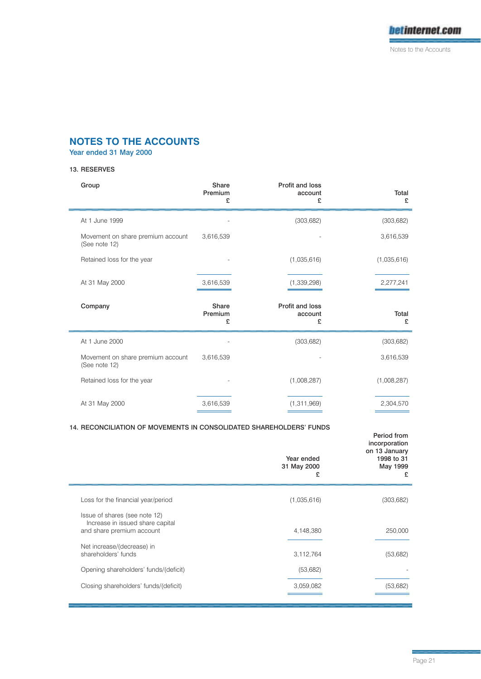

Year ended 31 May 2000

#### 13. RESERVES

| Group                                              | Share<br>Premium<br>£ | Profit and loss<br>account<br>£        | Total<br>£  |
|----------------------------------------------------|-----------------------|----------------------------------------|-------------|
| At 1 June 1999                                     |                       | (303, 682)                             | (303, 682)  |
| Movement on share premium account<br>(See note 12) | 3,616,539             |                                        | 3,616,539   |
| Retained loss for the year                         |                       | (1,035,616)                            | (1,035,616) |
| At 31 May 2000                                     | 3,616,539             | (1,339,298)                            | 2,277,241   |
|                                                    |                       |                                        |             |
| Company                                            | Share<br>Premium<br>£ | <b>Profit and loss</b><br>account<br>£ | Total<br>£  |
| At 1 June 2000                                     |                       | (303, 682)                             | (303, 682)  |
| Movement on share premium account<br>(See note 12) | 3,616,539             |                                        | 3,616,539   |
| Retained loss for the year                         |                       | (1,008,287)                            | (1,008,287) |

#### 14. RECONCILIATION OF MOVEMENTS IN CONSOLIDATED SHAREHOLDERS' FUNDS

|                                                                                                | Year ended<br>31 May 2000<br>£ | Period from<br>incorporation<br>on 13 January<br>1998 to 31<br>May 1999<br>£ |
|------------------------------------------------------------------------------------------------|--------------------------------|------------------------------------------------------------------------------|
| Loss for the financial year/period                                                             | (1,035,616)                    | (303, 682)                                                                   |
| Issue of shares (see note 12)<br>Increase in issued share capital<br>and share premium account | 4,148,380                      | 250,000                                                                      |
| Net increase/(decrease) in<br>shareholders' funds                                              | 3,112,764                      | (53,682)                                                                     |
| Opening shareholders' funds/(deficit)                                                          | (53, 682)                      |                                                                              |
| Closing shareholders' funds/(deficit)                                                          | 3,059,082                      | (53,682)                                                                     |
|                                                                                                |                                |                                                                              |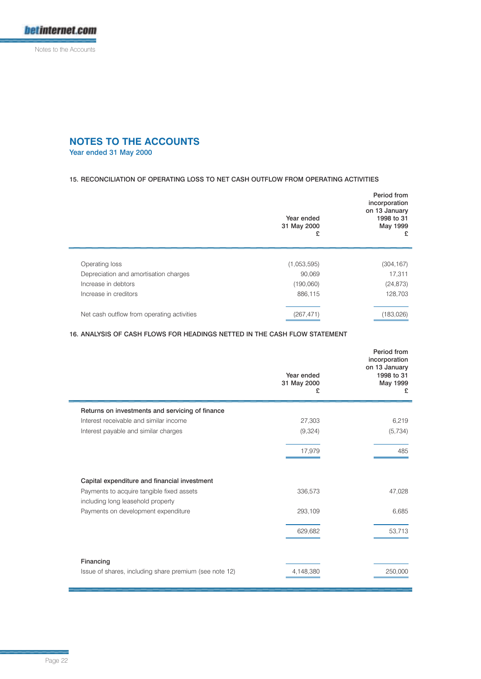Notes to the Accounts

### **NOTES TO THE ACCOUNTS**

Year ended 31 May 2000

#### 15. RECONCILIATION OF OPERATING LOSS TO NET CASH OUTFLOW FROM OPERATING ACTIVITIES

|                                            | Year ended<br>31 May 2000<br>£ | Period from<br>incorporation<br>on 13 January<br>1998 to 31<br>May 1999<br>£ |
|--------------------------------------------|--------------------------------|------------------------------------------------------------------------------|
|                                            |                                |                                                                              |
| Operating loss                             | (1,053,595)                    | (304, 167)                                                                   |
| Depreciation and amortisation charges      | 90,069                         | 17,311                                                                       |
| Increase in debtors                        | (190,060)                      | (24, 873)                                                                    |
| Increase in creditors                      | 886,115                        | 128,703                                                                      |
| Net cash outflow from operating activities | (267, 471)                     | (183, 026)                                                                   |

#### 16. ANALYSIS OF CASH FLOWS FOR HEADINGS NETTED IN THE CASH FLOW STATEMENT

|                                                                                | Year ended<br>31 May 2000<br>£ | Period from<br>incorporation<br>on 13 January<br>1998 to 31<br>May 1999<br>£ |
|--------------------------------------------------------------------------------|--------------------------------|------------------------------------------------------------------------------|
| Returns on investments and servicing of finance                                |                                |                                                                              |
| Interest receivable and similar income                                         | 27,303                         | 6,219                                                                        |
| Interest payable and similar charges                                           | (9,324)                        | (5,734)                                                                      |
|                                                                                | 17,979                         | 485                                                                          |
| Capital expenditure and financial investment                                   |                                |                                                                              |
| Payments to acquire tangible fixed assets<br>including long leasehold property | 336,573                        | 47,028                                                                       |
| Payments on development expenditure                                            | 293,109                        | 6,685                                                                        |
|                                                                                | 629,682                        | 53,713                                                                       |
| Financing                                                                      |                                |                                                                              |
| Issue of shares, including share premium (see note 12)                         | 4,148,380                      | 250,000                                                                      |
|                                                                                |                                |                                                                              |

 $\overline{a}$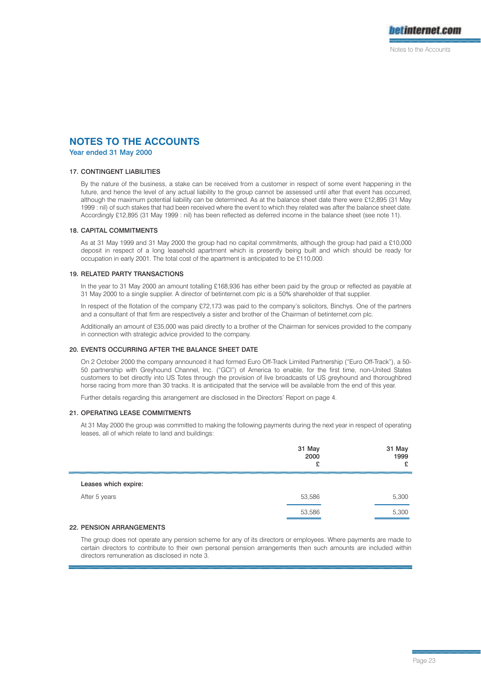Year ended 31 May 2000

#### 17. CONTINGENT LIABILITIES

By the nature of the business, a stake can be received from a customer in respect of some event happening in the future, and hence the level of any actual liability to the group cannot be assessed until after that event has occurred, although the maximum potential liability can be determined. As at the balance sheet date there were £12,895 (31 May 1999 : nil) of such stakes that had been received where the event to which they related was after the balance sheet date. Accordingly £12,895 (31 May 1999 : nil) has been reflected as deferred income in the balance sheet (see note 11).

#### 18. CAPITAL COMMITMENTS

As at 31 May 1999 and 31 May 2000 the group had no capital commitments, although the group had paid a £10,000 deposit in respect of a long leasehold apartment which is presently being built and which should be ready for occupation in early 2001. The total cost of the apartment is anticipated to be £110,000.

#### 19. RELATED PARTY TRANSACTIONS

In the year to 31 May 2000 an amount totalling £168,936 has either been paid by the group or reflected as payable at 31 May 2000 to a single supplier. A director of betinternet.com plc is a 50% shareholder of that supplier.

In respect of the flotation of the company £72,173 was paid to the company's solicitors, Binchys. One of the partners and a consultant of that firm are respectively a sister and brother of the Chairman of betinternet.com plc.

Additionally an amount of £35,000 was paid directly to a brother of the Chairman for services provided to the company in connection with strategic advice provided to the company.

#### 20. EVENTS OCCURRING AFTER THE BALANCE SHEET DATE

On 2 October 2000 the company announced it had formed Euro Off-Track Limited Partnership ("Euro Off-Track"), a 50- 50 partnership with Greyhound Channel, Inc. ("GCI") of America to enable, for the first time, non-United States customers to bet directly into US Totes through the provision of live broadcasts of US greyhound and thoroughbred horse racing from more than 30 tracks. It is anticipated that the service will be available from the end of this year.

Further details regarding this arrangement are disclosed in the Directors' Report on page 4.

#### 21. OPERATING LEASE COMMITMENTS

At 31 May 2000 the group was committed to making the following payments during the next year in respect of operating leases, all of which relate to land and buildings:

|                      | 31 May<br>2000<br>£ | 31 May<br>1999<br>£ |
|----------------------|---------------------|---------------------|
| Leases which expire: |                     |                     |
| After 5 years        | 53,586              | 5,300               |
|                      | 53,586              | 5,300               |

### 22. PENSION ARRANGEMENTS

The group does not operate any pension scheme for any of its directors or employees. Where payments are made to certain directors to contribute to their own personal pension arrangements then such amounts are included within directors remuneration as disclosed in note 3.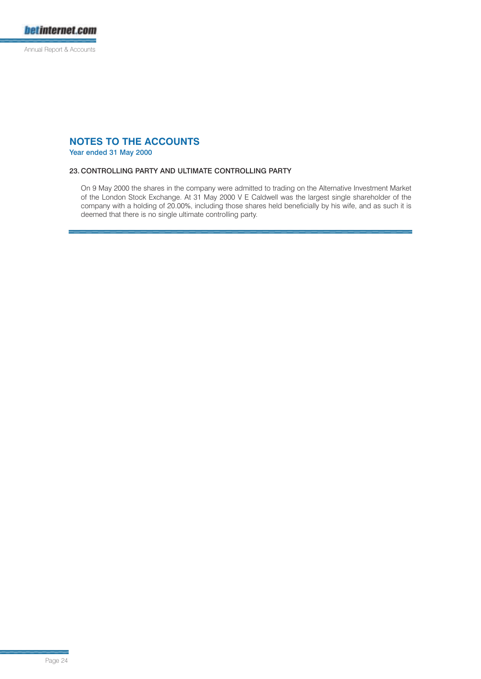

Annual Report & Accounts

### **NOTES TO THE ACCOUNTS**

Year ended 31 May 2000

#### 23. CONTROLLING PARTY AND ULTIMATE CONTROLLING PARTY

On 9 May 2000 the shares in the company were admitted to trading on the Alternative Investment Market of the London Stock Exchange. At 31 May 2000 V E Caldwell was the largest single shareholder of the company with a holding of 20.00%, including those shares held beneficially by his wife, and as such it is deemed that there is no single ultimate controlling party.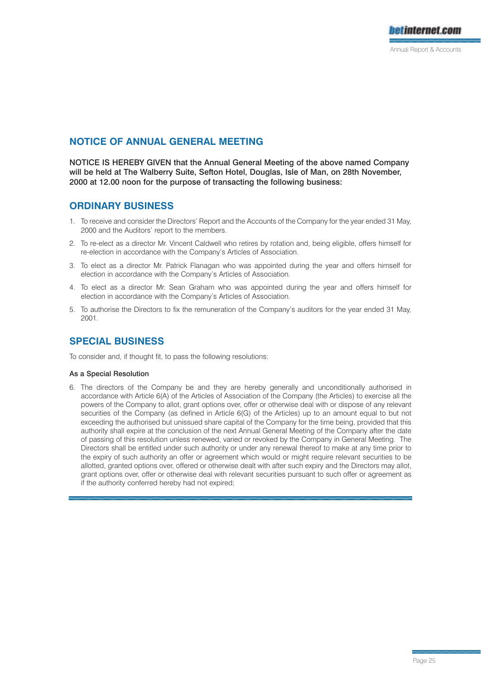### **NOTICE OF ANNUAL GENERAL MEETING**

NOTICE IS HEREBY GIVEN that the Annual General Meeting of the above named Company will be held at The Walberry Suite, Sefton Hotel, Douglas, Isle of Man, on 28th November, 2000 at 12.00 noon for the purpose of transacting the following business:

### **ORDINARY BUSINESS**

- 1. To receive and consider the Directors' Report and the Accounts of the Company for the year ended 31 May, 2000 and the Auditors' report to the members.
- 2. To re-elect as a director Mr. Vincent Caldwell who retires by rotation and, being eligible, offers himself for re-election in accordance with the Company's Articles of Association.
- 3. To elect as a director Mr. Patrick Flanagan who was appointed during the year and offers himself for election in accordance with the Company's Articles of Association.
- 4. To elect as a director Mr. Sean Graham who was appointed during the year and offers himself for election in accordance with the Company's Articles of Association.
- 5. To authorise the Directors to fix the remuneration of the Company's auditors for the year ended 31 May, 2001.

### **SPECIAL BUSINESS**

To consider and, if thought fit, to pass the following resolutions:

#### As a Special Resolution

6. The directors of the Company be and they are hereby generally and unconditionally authorised in accordance with Article 6(A) of the Articles of Association of the Company (the Articles) to exercise all the powers of the Company to allot, grant options over, offer or otherwise deal with or dispose of any relevant securities of the Company (as defined in Article 6(G) of the Articles) up to an amount equal to but not exceeding the authorised but unissued share capital of the Company for the time being, provided that this authority shall expire at the conclusion of the next Annual General Meeting of the Company after the date of passing of this resolution unless renewed, varied or revoked by the Company in General Meeting. The Directors shall be entitled under such authority or under any renewal thereof to make at any time prior to the expiry of such authority an offer or agreement which would or might require relevant securities to be allotted, granted options over, offered or otherwise dealt with after such expiry and the Directors may allot, grant options over, offer or otherwise deal with relevant securities pursuant to such offer or agreement as if the authority conferred hereby had not expired;